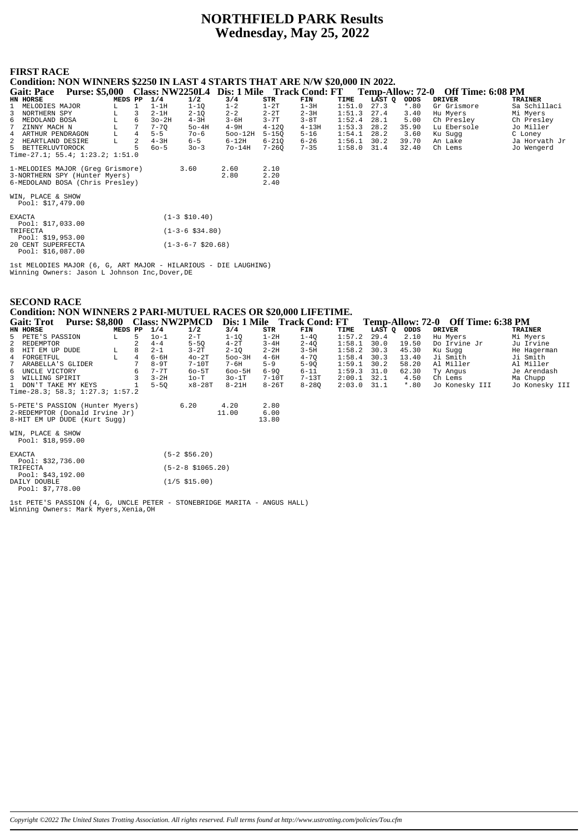# **NORTHFIELD PARK Results** Wednesday, May 25, 2022

# **FIRST RACE**

Condition: NON WINNERS \$2250 IN LAST 4 STARTS THAT ARE N/W \$20,000 IN 2022.

|   | <b>Gait: Pace</b>                                                        | <b>Purse: \$5,000</b>            |         |   |          |          | Class: NW2250L4 Dis: 1 Mile Track Cond: FT |           |           |        | Temp-Allow: 72-0 |         | <b>Off Time: 6:08 PM</b> |                |
|---|--------------------------------------------------------------------------|----------------------------------|---------|---|----------|----------|--------------------------------------------|-----------|-----------|--------|------------------|---------|--------------------------|----------------|
|   | HN HORSE                                                                 |                                  | MEDS PP |   | 1/4      | 1/2      | 3/4                                        | STR       | FIN       | TIME   | LAST O           | ODDS    | <b>DRIVER</b>            | <b>TRAINER</b> |
|   | 1 MELODIES MAJOR                                                         |                                  | L.      |   | $1-1H$   | 1-10     | $1 - 2$                                    | $1-2T$    | $1-3H$    | 1:51.0 | 27.3             | $*$ .80 | Gr Grismore              | Sa Schillaci   |
|   | 3 NORTHERN SPY                                                           |                                  | L.      | 3 | $2-1H$   | $2 - 10$ | $2 - 2$                                    | $2 - 2T$  | 2-3H      | 1:51.3 | 27.4             | 3.40    | Hu Myers                 | Mi Myers       |
| 6 | MEDOLAND BOSA                                                            |                                  | L.      | 6 | $3o-2H$  | $4-3H$   | $3 - 6H$                                   | $3 - 7T$  | $3-8T$    | 1:52.4 | 28.1             | 5.00    | Ch Presley               | Ch Presley     |
|   | 7 ZINNY MACH N                                                           |                                  | L       |   | $7 - 70$ | $50-4H$  | $4-9H$                                     | $4 - 120$ | $4 - 13H$ | 1:53.3 | 28.2             | 35.90   | Lu Ebersole              | Jo Miller      |
|   | 4 ARTHUR PENDRAGON                                                       |                                  | L.      | 4 | $5 - 5$  | $70 - 6$ | $500 - 12H$                                | $5 - 150$ | $5 - 16$  |        | $1:54.1$ 28.2    | 3.60    | Ku Sugg                  | C Loney        |
|   | 2 HEARTLAND DESIRE                                                       |                                  | L       | 2 | $4-3H$   | $6 - 5$  | $6-12H$                                    | $6 - 210$ | $6 - 26$  | 1:56.1 | 30.2             | 39.70   | An Lake                  | Ja Horvath Jr  |
|   | 5 BETTERLUVTOROCK                                                        |                                  |         |   | $60 - 5$ | $30 - 3$ | $70 - 14H$                                 | $7 - 260$ | $7 - 35$  | 1:58.0 | 31.4             | 32.40   | Ch Lems                  | Jo Wengerd     |
|   |                                                                          | Time-27.1; 55.4; 1:23.2; 1:51.0  |         |   |          |          |                                            |           |           |        |                  |         |                          |                |
|   |                                                                          | 1-MELODIES MAJOR (Greq Grismore) |         |   |          | 3.60     | 2.60                                       | 2.10      |           |        |                  |         |                          |                |
|   |                                                                          |                                  |         |   |          |          | 2.80                                       | 2.20      |           |        |                  |         |                          |                |
|   | 3-NORTHERN SPY (Hunter Myers)<br>6-MEDOLAND BOSA (Chris Presley)<br>2.40 |                                  |         |   |          |          |                                            |           |           |        |                  |         |                          |                |
|   | WIN, PLACE & SHOW<br>Pool: $$17.479.00$                                  |                                  |         |   |          |          |                                            |           |           |        |                  |         |                          |                |

| <b>EXACTA</b>      | $(1-3 \; $10.40)$             |
|--------------------|-------------------------------|
| Pool: \$17,033.00  |                               |
| TRIFECTA           | $(1 - 3 - 6 \text{ } $34.80)$ |
| Pool: $$19.953.00$ |                               |
| 20 CENT SUPERFECTA | $(1-3-6-7 \text{ } $20.68)$   |
| Pool: \$16,087.00  |                               |

1st MELODIES MAJOR (6, G, ART MAJOR - HILARIOUS - DIE LAUGHING)<br>Winning Owners: Jason L Johnson Inc,Dover,DE

| <b>SECOND RACE</b><br>Condition: NON WINNERS 2 PARI-MUTUEL RACES OR \$20,000 LIFETIME.            |                               |         |                |          |                       |               |                       |                            |        |        |         |                |                                    |                |
|---------------------------------------------------------------------------------------------------|-------------------------------|---------|----------------|----------|-----------------------|---------------|-----------------------|----------------------------|--------|--------|---------|----------------|------------------------------------|----------------|
| <b>Gait: Trot</b>                                                                                 | Purse: \$8,800 Class: NW2PMCD |         |                |          |                       |               |                       | Dis: 1 Mile Track Cond: FT |        |        |         |                | Temp-Allow: 72-0 Off Time: 6:38 PM |                |
| HN HORSE                                                                                          |                               | MEDS PP |                | 1/4      | 1/2                   | 3/4           | STR                   | FIN                        | TIME   | LAST Q | ODDS    | <b>DRIVER</b>  |                                    | <b>TRAINER</b> |
| 5 PETE'S PASSION                                                                                  |                               | L       | 5              | $10-1$   | $2-T$                 | $1 - 1Q$      | $1-2H$                | $1 - 4Q$                   | 1:57.2 | 29.4   | 2.10    | Hu Myers       |                                    | Mi Myers       |
| 2<br>REDEMPTOR                                                                                    |                               |         |                | $4 - 4$  | $5-5Q$                | $4 - 2T$      | $3 - 4H$              | $2 - 4Q$                   | 1:58.1 | 30.0   | 19.50   | Do Irvine Jr   |                                    | Ju Irvine      |
| 8<br>HIT EM UP DUDE                                                                               |                               | L       | 8              | $2 - 1$  | $3 - 2T$              | $2-1Q$        | $2 - 2H$              | $3-5H$                     | 1:58.2 | 30.3   | 45.30   | Ku Sugg        |                                    | He Hagerman    |
| 4<br>FORGETFUL                                                                                    |                               | L.      | $\overline{4}$ | $6 - 6H$ | $40-2T$               | $500 - 3H$    | $4-6H$                | $4 - 7Q$                   | 1:58.4 | 30.3   | 13.40   | Ji Smith       |                                    | Ji Smith       |
| ARABELLA'S GLIDER                                                                                 |                               |         |                | $8-9T$   | $7-10T$               | $7 - 6H$      | $5 - 9$               | $5-9Q$                     | 1:59.1 | 30.2   | 58.20   | Al Miller      |                                    | Al Miller      |
| 6<br>UNCLE VICTORY                                                                                |                               |         |                | $7 - 7T$ | $60 - 5T$             | $600 - 5H$    | $6-9Q$                | $6 - 11$                   | 1:59.3 | 31.0   | 62.30   | Ty Angus       |                                    | Je Arendash    |
| 3<br>WILLING SPIRIT                                                                               |                               |         |                | $3 - 2H$ | $1o-T$                | $30-1T$       | $7-10T$               | $7-13T$                    | 2:00.1 | 32.1   | 4.50    | Ch Lems        |                                    | Ma Chupp       |
| DON'T TAKE MY KEYS<br>Time-28.3; 58.3; 1:27.3; 1:57.2                                             |                               |         |                | $5 - 50$ | $x8-28T$              | $8 - 21H$     | $8 - 26T$             | $8 - 280$                  | 2:03.0 | 31.1   | $*$ .80 | Jo Konesky III |                                    | Jo Konesky III |
| 5-PETE'S PASSION (Hunter Myers)<br>2-REDEMPTOR (Donald Irvine Jr)<br>8-HIT EM UP DUDE (Kurt Sugg) |                               |         |                |          | 6.20                  | 4.20<br>11.00 | 2.80<br>6.00<br>13.80 |                            |        |        |         |                |                                    |                |
| WIN, PLACE & SHOW<br>Pool: \$18,959.00                                                            |                               |         |                |          |                       |               |                       |                            |        |        |         |                |                                    |                |
| <b>EXACTA</b><br>Pool: \$32,736.00                                                                |                               |         |                |          | $(5-2 \; $56.20)$     |               |                       |                            |        |        |         |                |                                    |                |
| TRIFECTA<br>Pool: \$43,192.00                                                                     |                               |         |                |          | $(5-2-8 \; $1065.20)$ |               |                       |                            |        |        |         |                |                                    |                |
| DAILY DOUBLE<br>Pool: \$7,778.00                                                                  |                               |         |                |          | $(1/5 \; $15.00)$     |               |                       |                            |        |        |         |                |                                    |                |

1st PETE'S PASSION (4, G, UNCLE PETER - STONEBRIDGE MARITA - ANGUS HALL)<br>Winning Owners: Mark Myers, Xenia, OH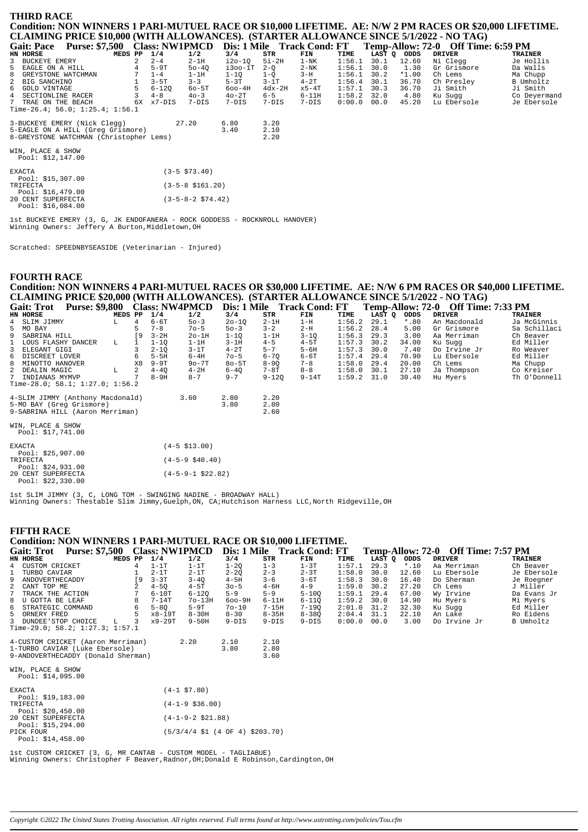# **THIRD RACE** Condition: NON WINNERS 1 PARI-MUTUEL RACE OR \$10,000 LIFETIME. AE: N/W 2 PM RACES OR \$20,000 LIFETIME. CLAIMING PRICE \$10,000 (WITH ALLOWANCES). (STARTER ALLOWANCE SINCE 5/1/2022 - NO TAG)

| <b>Gait: Pace</b>    | <b>Purse: \$7,500</b>                   |    | <b>Class: NW1PMCD</b> |           | Dis: 1 Mile   |          | <b>Track Cond: FT</b> |               |        |         | Temp-Allow: 72-0 Off Time: 6:59 PM |                |
|----------------------|-----------------------------------------|----|-----------------------|-----------|---------------|----------|-----------------------|---------------|--------|---------|------------------------------------|----------------|
| HN HORSE             | MEDS PP                                 |    | 1/4                   | 1/2       | 3/4           | STR      | FIN                   | TIME          | LAST O | ODDS    | DRIVER                             | <b>TRAINER</b> |
| 3 BUCKEYE EMERY      |                                         |    | $2 - 4$               | $2-1H$    | i2o-10        | $5i-2H$  | $1 - NK$              | 1:56.1        | 30.1   | 12.60   | Ni Cleaa                           | Je Hollis      |
| 5 EAGLE ON A HILL    |                                         |    | $5-9T$                | $50 - 40$ | $i3$ 00- $1T$ | $2 - O$  | $2 - NK$              | $1:56.1$ 30.0 |        | 1.30    | Gr Grismore                        | Da Walls       |
| 8 GREYSTONE WATCHMAN |                                         |    | $1 - 4$               | $1-1H$    | $1 - 10$      | 1-0      | $3-H$                 | 1:56.1        | 30.2   | $*1.00$ | Ch Lems                            | Ma Chupp       |
| 2 BIG SANCHINO       |                                         |    | $3 - 5T$              | $3 - 3$   | $5-3T$        | $3-1T$   | $4-2T$                | $1:56.4$ 30.1 |        | 36.70   | Ch Preslev                         | B Umholtz      |
| 6 GOLD VINTAGE       |                                         |    | 6-120                 | $60-5T$   | $600 - 4H$    | $4dx-2H$ | x5-4T                 | $1:57.1$ 30.3 |        | 36.70   | Ji Smith                           | Ji Smith       |
| 4 SECTIONLINE RACER  |                                         |    | $4 - 8$               | $40 - 3$  | $40 - 2T$     | $6 - 5$  | $6-11H$               | $1:58.2$ 32.0 |        | 4.80    | Ku Suaa                            | Co Deyermand   |
| 7 TRAE ON THE BEACH  |                                         | 6X | x7-DIS                | 7-DIS     | $7-DTS$       | 7-DIS    | 7-DIS                 | $0:00.0$ 00.0 |        | 45.20   | Lu Ebersole                        | Je Ebersole    |
|                      | Time-26.4; 56.0; 1:25.4; 1:56.1         |    |                       |           |               |          |                       |               |        |         |                                    |                |
|                      | 3-BUCKEYE EMERY (Nick Clegg)            |    |                       | 27.20     | 6.80          | 3.20     |                       |               |        |         |                                    |                |
|                      | 5-EAGLE ON A HILL (Greq Grismore)       |    |                       |           | 3.40          | 2.10     |                       |               |        |         |                                    |                |
|                      | 8-GREYSTONE WATCHMAN (Christopher Lems) |    |                       |           |               | 2.20     |                       |               |        |         |                                    |                |

WIN, PLACE & SHOW<br>Pool: \$12,147.00

| <b>EXACTA</b>      | $(3-5 \space $73.40)$      |
|--------------------|----------------------------|
| Pool: $$15,307.00$ |                            |
| TRIFECTA           | $(3-5-8 \text{ } $161.20)$ |
| Pool: \$16,479.00  |                            |
| 20 CENT SUPERFECTA | $(3-5-8-2 \text{ }574.42)$ |
| Pool: \$16,084.00  |                            |

1st BUCKEYE EMERY (3, G, JK ENDOFANERA - ROCK GODDESS - ROCKNROLL HANOVER)<br>Winning Owners: Jeffery A Burton, Middletown, OH

Scratched: SPEEDNBYSEASIDE (Veterinarian - Injured)

# **FOURTH RACE**

# Condition: NON WINNERS 4 PARI-MUTUEL RACES OR \$30,000 LIFETIME. AE: N/W 6 PM RACES OR \$40,000 LIFETIME. CLAIMING PRICE \$20,000 (WITH ALLOWANCES). (STARTER ALLOWANCE SINCE 5/1/2022 - NO TAG)

| <b>Gait: Trot</b>                      | <b>Purse: \$9,800</b>            |         |           | <b>Class: NW4PMCD</b> |          | Dis: 1 Mile |           | <b>Track Cond: FT</b> |        |        |         | Temp-Allow: 72-0 Off Time: 7:33 PM |                |
|----------------------------------------|----------------------------------|---------|-----------|-----------------------|----------|-------------|-----------|-----------------------|--------|--------|---------|------------------------------------|----------------|
| HN HORSE                               |                                  | MEDS PP |           | 1/4                   | 1/2      | 3/4         | STR       | FIN                   | TIME   | LAST O | ODDS    | <b>DRIVER</b>                      | <b>TRAINER</b> |
| 4 SLIM JIMMY                           |                                  | L       | 4         | $6-6T$                | $50 - 3$ | $20 - 10$   | $2-1H$    | $1-H$                 | 1:56.2 | 29.1   | $*$ .80 | An Macdonald                       | Ja McGinnis    |
| 5 MO BAY                               |                                  |         | 5.        | $7 - 8$               | $70 - 5$ | $50 - 3$    | $3 - 2$   | $2-H$                 | 1:56.2 | 28.4   | 5.00    | Gr Grismore                        | Sa Schillaci   |
| 9 SABRINA HILL                         |                                  |         | <b>19</b> | $3-2H$                | $2o-1H$  | $1 - 10$    | $1-1H$    | $3 - 10$              | 1:56.3 | 29.3   | 3.00    | Aa Merriman                        | Ch Beaver      |
| 1 LOUS FLASHY DANCER                   |                                  | L       |           | $1 - 10$              | $1-1H$   | $3-1H$      | $4 - 5$   | $4-5T$                | 1:57.3 | 30.2   | 34.00   | Ku Suqq                            | Ed Miller      |
| 3 ELEGANT GIGI                         |                                  |         |           | $2 - 10$              | $3-1T$   | $4-2T$      | $5 - 7$   | $5 - 6H$              | 1:57.3 | 30.0   | 7.40    | Do Irvine Jr                       | Ro Weaver      |
| 6 DISCREET LOVER                       |                                  |         | 6         | $5-5H$                | 6-4H     | $70 - 5$    | $6 - 70$  | 6-6T                  | 1:57.4 | 29.4   | 70.90   | Lu Ebersole                        | Ed Miller      |
| 8 MINOTTO HANOVER                      |                                  |         | X8        | $9-9T$                | $9o-7T$  | $8o-5T$     | $8 - 90$  | $7 - 8$               | 1:58.0 | 29.4   | 20.00   | Ch Lems                            | Ma Chupp       |
| 2 DEALIN MAGIC                         |                                  | L       | 2         | $4 - 40$              | $4-2H$   | $6 - 40$    | 7-8T      | $8 - 8$               | 1:58.0 | 30.1   | 27.10   | Ja Thompson                        | Co Kreiser     |
| 7 INDIANAS MYMVP                       |                                  |         |           | 8-9H                  | $8 - 7$  | $9 - 7$     | $9 - 120$ | $9-14T$               | 1:59.2 | 31.0   | 30.40   | Hu Myers                           | Th O'Donnell   |
|                                        | Time-28.0; 58.1; 1:27.0; 1:56.2  |         |           |                       |          |             |           |                       |        |        |         |                                    |                |
|                                        | 4-SLIM JIMMY (Anthony Macdonald) |         |           |                       | 3.60     | 2.80        | 2.20      |                       |        |        |         |                                    |                |
|                                        | 5-MO BAY (Greq Grismore)         |         |           |                       |          | 3.80        | 2.80      |                       |        |        |         |                                    |                |
|                                        | 9-SABRINA HILL (Aaron Merriman)  |         |           |                       |          |             | 2.60      |                       |        |        |         |                                    |                |
| WIN, PLACE & SHOW<br>Pool: \$17,741.00 |                                  |         |           |                       |          |             |           |                       |        |        |         |                                    |                |
|                                        |                                  |         |           |                       |          |             |           |                       |        |        |         |                                    |                |

| <b>EXACTA</b> |                    | $(4-5 \text{ } $13.00)$ |
|---------------|--------------------|-------------------------|
|               | Pool: $$25,907.00$ |                         |
| TRIFECTA      |                    | $(4-5-9 \t540.40)$      |
|               | Pool: \$24,931.00  |                         |
|               | 20 CENT SUPERFECTA | $(4-5-9-1$ \$22.82)     |
|               | Pool: $$22,330.00$ |                         |

lst SLIM JIMMY (3, C, LONG TOM - SWINGING NADINE - BROADWAY HALL)<br>Winning Owners: Thestable Slim Jimmy,Guelph,ON, CA;Hutchison Harness LLC,North Ridgeville,OH

### **FIFTH RACE**

# Condition: NON WINNERS 1 PARI-MUTUEL RACE OR \$10,000 LIFETIME.

|               |                                         |                                    |         |     |          |                |            |           |           |        |        |         | Gait: Trot Purse: \$7,500 Class: NW1PMCD Dis: 1 Mile Track Cond: FT Temp-Allow: 72-0 Off Time: 7:57 PM |                |
|---------------|-----------------------------------------|------------------------------------|---------|-----|----------|----------------|------------|-----------|-----------|--------|--------|---------|--------------------------------------------------------------------------------------------------------|----------------|
|               | HN HORSE                                |                                    | MEDS PP |     | 1/4      | 1/2            | 3/4        | STR       | FIN       | TIME   | LAST Q | ODDS    | DRIVER                                                                                                 | <b>TRAINER</b> |
|               | 4 CUSTOM CRICKET                        |                                    |         | 4   | $1-1T$   | $1-1T$         | $1 - 20$   | $1 - 3$   | $1-3T$    | 1:57.1 | 29.3   | $*$ .10 | Aa Merriman                                                                                            | Ch Beaver      |
|               | 1 TURBO CAVIAR                          |                                    |         |     | $2-1T$   | $2-1T$         | $2 - 20$   | $2 - 3$   | $2 - 3T$  | 1:58.0 | 30.0   | 12.60   | Lu Ebersole                                                                                            | Je Ebersole    |
|               | 9 ANDOVERTHECADDY                       |                                    |         | ſ9. | $3 - 3T$ | $3 - 40$       | $4-5H$     | $3 - 6$   | $3-6T$    | 1:58.3 | 30.0   | 16.40   | Do Sherman                                                                                             | Je Roegner     |
|               | 2 CANT TOP ME                           |                                    |         |     | $4 - 50$ | $4-5T$         | $30 - 5$   | $4-6H$    | $4 - 9$   | 1:59.0 | 30.2   | 27.20   | Ch Lems                                                                                                | J Miller       |
| 7             | TRACK THE ACTION                        |                                    |         |     | $6-10T$  | $6 - 120$      | $5 - 9$    | $5 - 9$   | $5 - 100$ | 1:59.1 | 29.4   | 67.00   | Wy Irvine                                                                                              | Da Evans Jr    |
|               | 8 U GOTTA BE LEAF                       |                                    |         | 8   | $7-14T$  | $70 - 13H$     | $600 - 9H$ | $6-11H$   | $6 - 110$ | 1:59.2 | 30.0   | 14.90   | Hu Myers                                                                                               | Mi Myers       |
|               | 6 STRATEGIC COMMAND                     |                                    |         | 6   | $5 - 80$ | $5-9T$         | $70 - 10$  | $7-15H$   | $7 - 190$ | 2:01.0 | 31.2   | 32.30   | Ku Sugg                                                                                                | Ed Miller      |
|               | 5 ORNERY FRED                           |                                    |         |     | x8-19T   | $8 - 30H$      | $8 - 30$   | $8 - 35H$ | $8 - 380$ | 2:04.4 | 31.1   | 22.10   | An Lake                                                                                                | Ro Eidens      |
|               |                                         | 3 DUNDEE'STOP CHOICE               | L.      | 3   | x9-29T   | $9 - 50H$      | $9-DIS$    | $9-DIS$   | $9-DIS$   | 0:00.0 | 00.0   | 3.00    | Do Irvine Jr                                                                                           | B Umholtz      |
|               |                                         | Time-29.0; 58.2; 1:27.3; 1:57.1    |         |     |          |                |            |           |           |        |        |         |                                                                                                        |                |
|               |                                         | 4-CUSTOM CRICKET (Aaron Merriman)  |         |     |          | 2.20           | 2.10       | 2.10      |           |        |        |         |                                                                                                        |                |
|               |                                         | 1-TURBO CAVIAR (Luke Ebersole)     |         |     |          |                | 3.80       | 2.80      |           |        |        |         |                                                                                                        |                |
|               |                                         | 9-ANDOVERTHECADDY (Donald Sherman) |         |     |          |                |            | 3.60      |           |        |        |         |                                                                                                        |                |
|               | WIN, PLACE & SHOW<br>Pool: $$14,095.00$ |                                    |         |     |          |                |            |           |           |        |        |         |                                                                                                        |                |
| <b>EXACTA</b> |                                         |                                    |         |     |          | $(4-1$ \$7.80) |            |           |           |        |        |         |                                                                                                        |                |

| EXACTA                                               | $(4-1 \; $7.80)$                                           |
|------------------------------------------------------|------------------------------------------------------------|
| Pool: \$19,183.00<br>TRIFECTA                        | $(4-1-9 \; $36.00)$                                        |
| Pool: $$20,450.00$<br>20 CENT SUPERFECTA             | $(4-1-9-2 \text{ }521.88)$                                 |
| Pool: \$15,294.00<br>PICK FOUR<br>Pool: $$14,458.00$ | $(5/3/4/4 \text{ } 51 (4 \text{ } 0F 4) \text{ } $203.70)$ |

1st CUSTOM CRICKET (3, G, MR CANTAB - CUSTOM MODEL - TAGLIABUE) Winning Owners: Christopher F Beaver, Radnor, OH; Donald E Robinson, Cardington, OH

Copyright @2022 The United States Trotting Association. All rights reserved. Full terms found at http://www.ustrotting.com/policies/Tou.cfm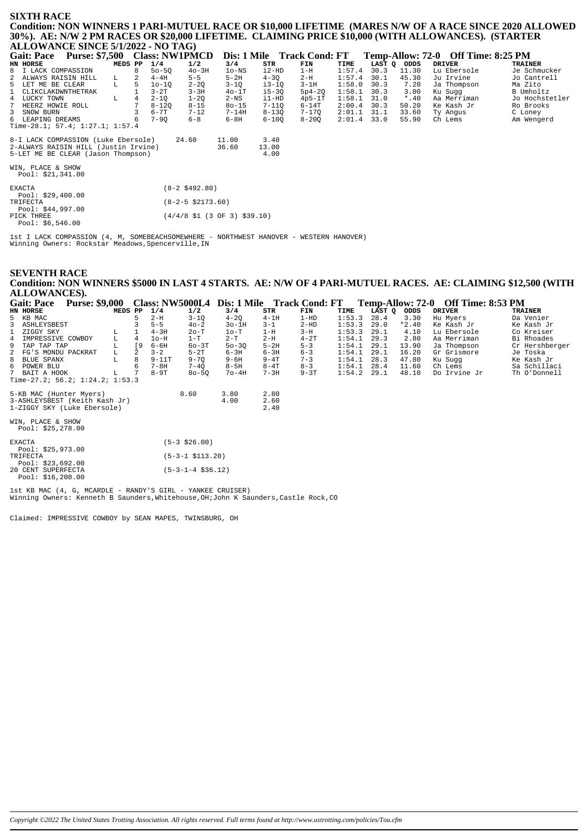### **SIXTH RACE**

**Condition: NON WINNERS 1 PARI-MUTUEL RACE OR \$10,000 LIFETIME (MARES N/W OF A RACE SINCE 2020 ALLOWED 30%). AE: N/W 2 PM RACES OR \$20,000 LIFETIME. CLAIMING PRICE \$10,000 (WITH ALLOWANCES). (STARTER ALLOWANCE SINCE 5/1/2022 - NO TAG)**

| Purse: \$7,500 Class: NW1PMCD<br><b>Gait: Pace</b> |                                    | Dis: 1 Mile Track Cond: FT | Temp-Allow: 72-0 Off Time: 8:25 PM |                               |
|----------------------------------------------------|------------------------------------|----------------------------|------------------------------------|-------------------------------|
| 1/4<br>HN HORSE<br>MEDS PP                         | 1/2<br>3/4<br>STR                  | TIME<br>FIN                | LAST Q ODDS<br><b>DRIVER</b>       | <b>TRAINER</b>                |
| 8 I LACK COMPASSION<br>$50 - 50$                   | i2-HD<br>$40-3H$<br>$1o-NS$        | $1-H$<br>1:57.4            | 30.3<br>11.30                      | Lu Ebersole<br>Je Schmucker   |
| 2 ALWAYS RAISIN HILL<br>$4-4H$<br>L.               | $5 - 5$<br>$5-2H$<br>$4 - 30$      | 1:57.4<br>$2-H$            | 30.1<br>45.30                      | Ju Irvine<br>Jo Cantrell      |
| L<br>5 LET ME BE CLEAR<br>$10 - 10$                | $2 - 2Q$<br>$3 - 10$<br>i3-10      | 1:58.0<br>$3-1H$           | 30.3<br>7.20                       | Ja Thompson<br>Ma Zito        |
| 1 CLIKCLAKDWNTHETRAK<br>$3-2T$                     | $3 - 3H$<br>$i5-3Q$<br>$40-1T$     | $5p4-2Q$<br>1:58.1         | 30.3<br>3.00                       | B Umholtz<br>Ku Sugg          |
| 4 LUCKY TOWN<br>$2 - 10$<br>L                      | $1 - 2Q$<br>$2-NS$<br>i1-HD        | 1:58.1<br>$4p5-1T$         | 31.0<br>$*$ .40                    | Jo Hochstetler<br>Aa Merriman |
| $7^{\circ}$<br>$8 - 120$<br>HEERZ HOWIE ROLL       | $8 - 15$<br>$80 - 15$<br>$7 - 110$ | $6-14T$<br>2:00.4          | 30.3<br>50.20                      | Ke Kash Jr<br>Ro Brooks       |
| 3 SNOW BURN<br>$6 - 7T$                            | $7 - 12$<br>$7 - 14H$<br>$8 - 13Q$ | 7-170<br>2:01.1            | 31.1<br>33.60                      | Ty Angus<br>C Loney           |
| 6 LEAPING DREAMS<br>$7 - 90$                       | $6 - 8$<br>$6-8H$<br>$6 - 100$     | 2:01.4<br>$8 - 20Q$        | 33.0<br>55.90                      | Ch Lems<br>Am Wengerd         |
| Time-28.1; 57.4; $1:27.1$ ; $1:57.4$               |                                    |                            |                                    |                               |
| 8-I LACK COMPASSION (Luke Ebersole)                | 11.00<br>24.60<br>3.40             |                            |                                    |                               |
| 2-ALWAYS RAISIN HILL (Justin Irvine)               | 36.60<br>13.00                     |                            |                                    |                               |
| 5-LET ME BE CLEAR (Jason Thompson)                 | 4.00                               |                            |                                    |                               |
| WIN, PLACE & SHOW<br>Pool: \$21,341.00             |                                    |                            |                                    |                               |
| <b>EXACTA</b><br>Pool: $$29,400.00$                | $(8-2, 5492.80)$                   |                            |                                    |                               |
| TRIFECTA<br>Pool: \$44,997.00                      | $(8-2-5 \; $2173.60)$              |                            |                                    |                               |
| PICK THREE<br>Pool: \$6,546.00                     | $(4/4/8$ \$1 (3 OF 3) \$39.10)     |                            |                                    |                               |

1st I LACK COMPASSION (4, M, SOMEBEACHSOMEWHERE – NORTHWEST HANOVER – WESTERN HANOVER)<br>Winning Owners: Rockstar Meadows,Spencerville,IN

| Condition: NON WINNERS \$5000 IN LAST 4 STARTS. AE: N/W OF 4 PARI-MUTUEL RACES. AE: CLAIMING \$12,500 (WITH<br>ALLOWANCES).<br><b>Purse: \$9,000</b><br>Class: NW5000L4 Dis: 1 Mile Track Cond: FT Temp-Allow: 72-0 Off Time: 8:53 PM<br><b>Gait: Pace</b><br>1/4<br><b>DRIVER</b><br>HN HORSE<br>MEDS PP<br>1/2<br>3/4<br>LAST O<br>ODDS<br><b>TRAINER</b><br>STR<br>FIN<br>TIME<br>$4-1H$<br>$2-H$<br>$3 - 10$<br>$4 - 20$<br>$1-HD$<br>1:53.3<br>28.4<br>3.30<br>5 KB MAC<br>Hu Myers<br>Da Venier<br>3<br>$5 - 5$<br>$3o-1H$<br>$3 - 1$<br>$2-HD$<br>1:53.3<br>29.0<br>$*2.40$<br>Ke Kash Jr<br>ASHLEYSBEST<br>$40 - 2$<br>Ke Kash Jr<br>1:53.3<br>$3-H$<br>29.1<br>4.10<br>ZIGGY SKY<br>$4 - 3H$<br>$1-H$<br>Lu Ebersole<br>Co Kreiser<br>$2o-T$<br>$1o-T$<br>L<br>$2-T$<br>$2-H$<br>$1-T$<br>$4 - 2T$<br>1:54.1<br>29.3<br>2.80<br>Aa Merriman<br>Bi Rhoades<br>4<br>IMPRESSIVE COWBOY<br>$1o-H$<br>L<br>[9<br>9<br>TAP TAP TAP<br>$6-6H$<br>$60-3T$<br>$5-2H$<br>$5 - 3$<br>1:54.1<br>29.1<br>13.90<br>Ja Thompson<br>Cr Hershberger<br>$50 - 30$<br>2<br>$3 - 2$<br>$5-2T$<br>$6 - 3$<br>1:54.1<br>16.20<br>Gr Grismore<br>2<br>FG'S MONDU PACKRAT<br>L<br>$6-3H$<br>$6 - 3H$<br>29.1<br>Je Toska<br>L<br>8<br>$7 - 3$<br>$9 - 11T$<br>1:54.1<br>28.3<br>47.80<br><b>BLUE SPANX</b><br>$9 - 70$<br>$9 - 6H$<br>$9 - 4T$<br>Ku Sugg<br>Ke Kash Jr<br>POWER BLU<br>$7 - 8H$<br>$8-5H$<br>$8 - 4T$<br>$8 - 3$<br>1:54.1<br>28.4<br>Ch Lems<br>Sa Schillaci<br>$7 - 40$<br>11.60<br>6 |
|-------------------------------------------------------------------------------------------------------------------------------------------------------------------------------------------------------------------------------------------------------------------------------------------------------------------------------------------------------------------------------------------------------------------------------------------------------------------------------------------------------------------------------------------------------------------------------------------------------------------------------------------------------------------------------------------------------------------------------------------------------------------------------------------------------------------------------------------------------------------------------------------------------------------------------------------------------------------------------------------------------------------------------------------------------------------------------------------------------------------------------------------------------------------------------------------------------------------------------------------------------------------------------------------------------------------------------------------------------------------------------------------------------------------------------------------------------------------------------------------|
|                                                                                                                                                                                                                                                                                                                                                                                                                                                                                                                                                                                                                                                                                                                                                                                                                                                                                                                                                                                                                                                                                                                                                                                                                                                                                                                                                                                                                                                                                           |
|                                                                                                                                                                                                                                                                                                                                                                                                                                                                                                                                                                                                                                                                                                                                                                                                                                                                                                                                                                                                                                                                                                                                                                                                                                                                                                                                                                                                                                                                                           |
|                                                                                                                                                                                                                                                                                                                                                                                                                                                                                                                                                                                                                                                                                                                                                                                                                                                                                                                                                                                                                                                                                                                                                                                                                                                                                                                                                                                                                                                                                           |
|                                                                                                                                                                                                                                                                                                                                                                                                                                                                                                                                                                                                                                                                                                                                                                                                                                                                                                                                                                                                                                                                                                                                                                                                                                                                                                                                                                                                                                                                                           |
|                                                                                                                                                                                                                                                                                                                                                                                                                                                                                                                                                                                                                                                                                                                                                                                                                                                                                                                                                                                                                                                                                                                                                                                                                                                                                                                                                                                                                                                                                           |
|                                                                                                                                                                                                                                                                                                                                                                                                                                                                                                                                                                                                                                                                                                                                                                                                                                                                                                                                                                                                                                                                                                                                                                                                                                                                                                                                                                                                                                                                                           |
|                                                                                                                                                                                                                                                                                                                                                                                                                                                                                                                                                                                                                                                                                                                                                                                                                                                                                                                                                                                                                                                                                                                                                                                                                                                                                                                                                                                                                                                                                           |
|                                                                                                                                                                                                                                                                                                                                                                                                                                                                                                                                                                                                                                                                                                                                                                                                                                                                                                                                                                                                                                                                                                                                                                                                                                                                                                                                                                                                                                                                                           |
|                                                                                                                                                                                                                                                                                                                                                                                                                                                                                                                                                                                                                                                                                                                                                                                                                                                                                                                                                                                                                                                                                                                                                                                                                                                                                                                                                                                                                                                                                           |
|                                                                                                                                                                                                                                                                                                                                                                                                                                                                                                                                                                                                                                                                                                                                                                                                                                                                                                                                                                                                                                                                                                                                                                                                                                                                                                                                                                                                                                                                                           |
|                                                                                                                                                                                                                                                                                                                                                                                                                                                                                                                                                                                                                                                                                                                                                                                                                                                                                                                                                                                                                                                                                                                                                                                                                                                                                                                                                                                                                                                                                           |
|                                                                                                                                                                                                                                                                                                                                                                                                                                                                                                                                                                                                                                                                                                                                                                                                                                                                                                                                                                                                                                                                                                                                                                                                                                                                                                                                                                                                                                                                                           |
| $7^{\circ}$<br>BAIT A HOOK<br>$8-9T$<br>$7o-4H$<br>$7 - 3H$<br>$9 - 3T$<br>1:54.2<br>29.1<br>48.10<br>Do Irvine Jr<br>Th O'Donnell<br>$80 - 50$<br>L                                                                                                                                                                                                                                                                                                                                                                                                                                                                                                                                                                                                                                                                                                                                                                                                                                                                                                                                                                                                                                                                                                                                                                                                                                                                                                                                      |
| Time-27.2; $56.2; 1:24.2; 1:53.3$                                                                                                                                                                                                                                                                                                                                                                                                                                                                                                                                                                                                                                                                                                                                                                                                                                                                                                                                                                                                                                                                                                                                                                                                                                                                                                                                                                                                                                                         |
| 8.60<br>2.80<br>5-KB MAC (Hunter Myers)<br>3.80                                                                                                                                                                                                                                                                                                                                                                                                                                                                                                                                                                                                                                                                                                                                                                                                                                                                                                                                                                                                                                                                                                                                                                                                                                                                                                                                                                                                                                           |
| 3-ASHLEYSBEST (Keith Kash Jr)<br>4.00<br>2.60                                                                                                                                                                                                                                                                                                                                                                                                                                                                                                                                                                                                                                                                                                                                                                                                                                                                                                                                                                                                                                                                                                                                                                                                                                                                                                                                                                                                                                             |
| 1-ZIGGY SKY (Luke Ebersole)<br>2.40                                                                                                                                                                                                                                                                                                                                                                                                                                                                                                                                                                                                                                                                                                                                                                                                                                                                                                                                                                                                                                                                                                                                                                                                                                                                                                                                                                                                                                                       |
| WIN, PLACE & SHOW                                                                                                                                                                                                                                                                                                                                                                                                                                                                                                                                                                                                                                                                                                                                                                                                                                                                                                                                                                                                                                                                                                                                                                                                                                                                                                                                                                                                                                                                         |
| Pool: \$25,278.00                                                                                                                                                                                                                                                                                                                                                                                                                                                                                                                                                                                                                                                                                                                                                                                                                                                                                                                                                                                                                                                                                                                                                                                                                                                                                                                                                                                                                                                                         |
| $(5-3 \; $26.00)$<br><b>EXACTA</b>                                                                                                                                                                                                                                                                                                                                                                                                                                                                                                                                                                                                                                                                                                                                                                                                                                                                                                                                                                                                                                                                                                                                                                                                                                                                                                                                                                                                                                                        |
| Pool: \$25,973.00                                                                                                                                                                                                                                                                                                                                                                                                                                                                                                                                                                                                                                                                                                                                                                                                                                                                                                                                                                                                                                                                                                                                                                                                                                                                                                                                                                                                                                                                         |
| $(5-3-1 \; $113.20)$<br>TRIFECTA                                                                                                                                                                                                                                                                                                                                                                                                                                                                                                                                                                                                                                                                                                                                                                                                                                                                                                                                                                                                                                                                                                                                                                                                                                                                                                                                                                                                                                                          |
| Pool: \$23,692.00                                                                                                                                                                                                                                                                                                                                                                                                                                                                                                                                                                                                                                                                                                                                                                                                                                                                                                                                                                                                                                                                                                                                                                                                                                                                                                                                                                                                                                                                         |
| $(5-3-1-4 \text{ } $36.12)$<br>20 CENT SUPERFECTA                                                                                                                                                                                                                                                                                                                                                                                                                                                                                                                                                                                                                                                                                                                                                                                                                                                                                                                                                                                                                                                                                                                                                                                                                                                                                                                                                                                                                                         |
| Pool: \$16,208.00                                                                                                                                                                                                                                                                                                                                                                                                                                                                                                                                                                                                                                                                                                                                                                                                                                                                                                                                                                                                                                                                                                                                                                                                                                                                                                                                                                                                                                                                         |
| 1st KB MAC (4, G, MCARDLE - RANDY'S GIRL - YANKEE CRUISER)                                                                                                                                                                                                                                                                                                                                                                                                                                                                                                                                                                                                                                                                                                                                                                                                                                                                                                                                                                                                                                                                                                                                                                                                                                                                                                                                                                                                                                |

Winning Owners: Kenneth B Saunders, Whitehouse, OH; John K Saunders, Castle Rock, CO

Claimed: IMPRESSIVE COWBOY by SEAN MAPES, TWINSBURG, OH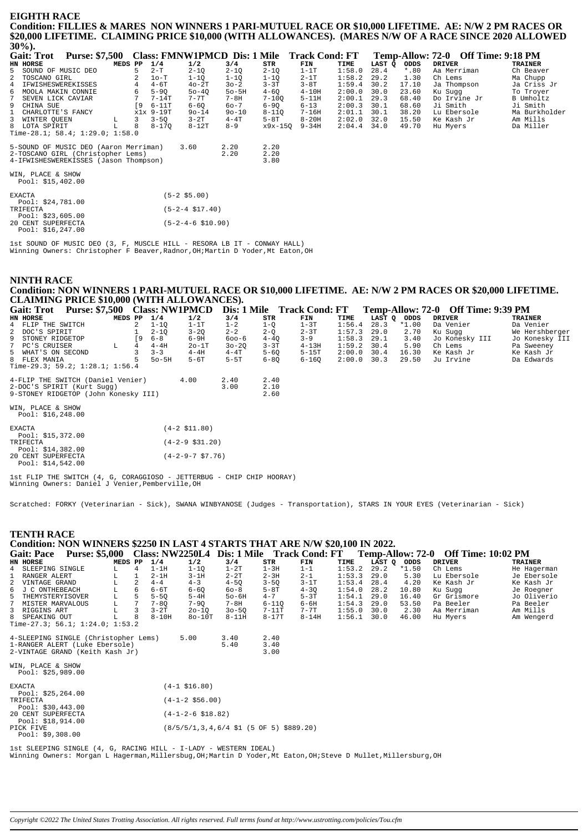#### **EIGHTH RACE** Condition: FILLIES & MARES NON WINNERS 1 PARI-MUTUEL RACE OR \$10,000 LIFETIME. AE: N/W 2 PM RACES OR \$20,000 LIFETIME. CLAIMING PRICE \$10,000 (WITH ALLOWANCES). (MARES N/W OF A RACE SINCE 2020 ALLOWED  $200(1)$

| 30/06                                      |                                             |           |           |           |        |        |         |                                    |                |
|--------------------------------------------|---------------------------------------------|-----------|-----------|-----------|--------|--------|---------|------------------------------------|----------------|
| <b>Purse: \$7,500</b><br><b>Gait: Trot</b> | Class: FMNW1PMCD Dis: 1 Mile Track Cond: FT |           |           |           |        |        |         | Temp-Allow: 72-0 Off Time: 9:18 PM |                |
| HN HORSE<br>MEDS PP                        | 1/4<br>1/2                                  | 3/4       | STR       | FIN       | TIME   | LAST Q | ODDS    | <b>DRIVER</b>                      | <b>TRAINER</b> |
| 5 SOUND OF MUSIC DEO<br>5                  | $2-T$<br>$2 - 1Q$                           | $2 - 1Q$  | $2 - 1Q$  | $1-1T$    | 1:58.0 | 28.4   | $*$ .80 | Aa Merriman                        | Ch Beaver      |
| TOSCANO GIRL<br>$\overline{a}$             | $1o-T$<br>$1 - 1Q$                          | $1 - 1Q$  | $1 - 10$  | $2-1T$    | 1:58.2 | 29.2   | 1.30    | Ch Lems                            | Ma Chupp       |
| IFWISHESWEREKISSES<br>4<br>4               | $4-6T$<br>$40-2T$                           | $30 - 2$  | $3 - 3T$  | $3-8T$    | 1:59.4 | 30.2   | 17.10   | Ja Thompson                        | Ja Criss Jr    |
| MOOLA MAKIN CONNIE<br>6<br>6               | $5-9Q$<br>$50 - 40$                         | $50 - 5H$ | $4 - 6Q$  | $4-10H$   | 2:00.0 | 30.0   | 23.60   | Ku Sugg                            | To Troyer      |
| 7<br>SEVEN LICK CAVIAR                     | $7-14T$<br>7-7T                             | $7 - 8H$  | $7 - 100$ | $5 - 11H$ | 2:00.1 | 29.3   | 68.40   | Do Irvine Jr                       | B Umholtz      |
| 9 CHINA SUE<br><b>19</b>                   | $6 - 11T$<br>$6 - 60$                       | $60 - 7$  | $6 - 90$  | $6 - 13$  | 2:00.3 | 30.1   | 68.60   | Ji Smith                           | Ji Smith       |
| CHARLOTTE'S FANCY                          | x1x 9-19T<br>$90 - 14$                      | $90 - 10$ | $8 - 11Q$ | 7-16H     | 2:01.1 | 30.1   | 38.20   | Lu Ebersole                        | Ma Burkholder  |
| 3 WINTER OUEEN<br>3<br>L                   | $3-2T$<br>$3 - 50$                          | $4 - 4T$  | $5-8T$    | $8-20H$   | 2:02.0 | 32.0   | 15.50   | Ke Kash Jr                         | Am Mills       |
| 8 LOTA SPIRIT<br>8                         | $8 - 170$<br>$8-12T$                        | $8 - 9$   | x9x-150   | $9 - 34H$ | 2:04.4 | 34.0   | 49.70   | Hu Myers                           | Da Miller      |
| Time-28.1; 58.4; 1:29.0; 1:58.0            |                                             |           |           |           |        |        |         |                                    |                |
| 5-SOUND OF MUSIC DEO (Aaron Merriman)      | 3.60                                        | 2.20      | 2.20      |           |        |        |         |                                    |                |
| 2-TOSCANO GIRL (Christopher Lems)          |                                             | 2.20      | 2.20      |           |        |        |         |                                    |                |
| 4-IFWISHESWEREKISSES (Jason Thompson)      |                                             |           | 3.80      |           |        |        |         |                                    |                |
|                                            |                                             |           |           |           |        |        |         |                                    |                |
| WIN, PLACE & SHOW                          |                                             |           |           |           |        |        |         |                                    |                |
| Pool: $$15,402.00$                         |                                             |           |           |           |        |        |         |                                    |                |
| <b>EXACTA</b>                              | $(5-2$ \$5.00)                              |           |           |           |        |        |         |                                    |                |
| Pool: $$24,781.00$                         |                                             |           |           |           |        |        |         |                                    |                |
| TRIFECTA                                   | $(5-2-4 \text{ } $17.40)$                   |           |           |           |        |        |         |                                    |                |
| Pool: $$23,605.00$                         |                                             |           |           |           |        |        |         |                                    |                |
| 20 CENT SUPERFECTA                         | $(5-2-4-6 \ $10.90)$                        |           |           |           |        |        |         |                                    |                |
| Pool: $$16, 247.00$                        |                                             |           |           |           |        |        |         |                                    |                |

lst SOUND OF MUSIC DEO (3, F, MUSCLE HILL - RESORA LB IT - CONWAY HALL)<br>Winning Owners: Christopher F Beaver, Radnor, OH; Martin D Yoder, Mt Eaton, OH

#### **NINTH RACE** Condition: NON WINNERS 1 PARI-MUTUEL RACE OR \$10,000 LIFETIME. AE: N/W 2 PM RACES OR \$20,000 LIFETIME. CLAIMING PRICE \$10,000 (WITH ALLOWANCES).  $\mathbf{F}$  and  $\mathbf{F}$  and  $\mathbf{F}$  $\sim$

| <b>Purse: \$7,500</b><br><b>Gait: Trot</b> | <b>Class: NW1PMCD</b>      |           |          | Dis: 1 Mile Track Cond: FT |        |        |         | Temp-Allow: 72-0 Off Time: 9:39 PM |                |
|--------------------------------------------|----------------------------|-----------|----------|----------------------------|--------|--------|---------|------------------------------------|----------------|
| MEDS PP<br>HN HORSE                        | 1/4<br>1/2                 | 3/4       | STR      | FIN                        | TIME   | LAST Q | ODDS    | <b>DRIVER</b>                      | <b>TRAINER</b> |
| 4 FLIP THE SWITCH                          | $1-1T$<br>$1 - 10$         | $1 - 2$   | $1-Q$    | $1-3T$                     | 1:56.4 | 28.3   | $*1.00$ | Da Venier                          | Da Venier      |
| 2 DOC'S SPIRIT                             | $3 - 20$<br>$2 - 10$       | $2 - 2$   | $2 - 0$  | $2 - 3T$                   | 1:57.3 | 29.0   | 2.70    | Ku Suqq                            | We Hershberger |
| 9 STONEY RIDGETOP<br>[9                    | $6 - 8$<br>$6-9H$          | $600 - 6$ | $4 - 40$ | $3 - 9$                    | 1:58.3 | 29.1   | 3.40    | Jo Konesky III                     | Jo Konesky III |
| 7 PC'S CRUISER<br>L<br>4                   | $4-4H$<br>$2o-1T$          | $30 - 20$ | $3 - 3T$ | $4 - 13H$                  | 1:59.2 | 30.4   | 5.90    | Ch Lems                            | Pa Sweeney     |
| 5 WHAT'S ON SECOND                         | $3 - 3$<br>$4-4H$          | $4 - 4T$  | $5 - 60$ | $5-15T$                    | 2:00.0 | 30.4   | 16.30   | Ke Kash Jr                         | Ke Kash Jr     |
| 8 FLEX MANIA                               | $50 - 5H$<br>$5-6T$        | $5-5T$    | $6 - 80$ | $6 - 160$                  | 2:00.0 | 30.3   | 29.50   | Ju Irvine                          | Da Edwards     |
| Time-29.3; 59.2; $1:28.1; 1:56.4$          |                            |           |          |                            |        |        |         |                                    |                |
| 4-FLIP THE SWITCH (Daniel Venier)          | 4.00                       | 2.40      | 2.40     |                            |        |        |         |                                    |                |
| 2-DOC'S SPIRIT (Kurt Sugg)                 |                            | 3.00      | 2.10     |                            |        |        |         |                                    |                |
| 9-STONEY RIDGETOP (John Konesky III)       |                            |           | 2.60     |                            |        |        |         |                                    |                |
|                                            |                            |           |          |                            |        |        |         |                                    |                |
| WIN, PLACE & SHOW                          |                            |           |          |                            |        |        |         |                                    |                |
| Pool: \$16,248.00                          |                            |           |          |                            |        |        |         |                                    |                |
|                                            |                            |           |          |                            |        |        |         |                                    |                |
| EXACTA                                     | $(4-2 \; \text{S11.80})$   |           |          |                            |        |        |         |                                    |                |
| Pool: \$15,372.00                          |                            |           |          |                            |        |        |         |                                    |                |
| TRIFECTA                                   | $(4-2-9 \; $31.20)$        |           |          |                            |        |        |         |                                    |                |
| Pool: \$14,382.00                          |                            |           |          |                            |        |        |         |                                    |                |
| 20 CENT SUPERFECTA                         | $(4-2-9-7 \text{ } $7.76)$ |           |          |                            |        |        |         |                                    |                |
| Pool: $$14,542.00$                         |                            |           |          |                            |        |        |         |                                    |                |

1st FLIP THE SWITCH (4, G, CORAGGIOSO - JETTERBUG - CHIP CHIP HOORAY)<br>Winning Owners: Daniel J Venier, Pemberville, OH

Scratched: FORKY (Veterinarian - Sick), SWANA WINBYANOSE (Judges - Transportation), STARS IN YOUR EYES (Veterinarian - Sick)

# **TENTH RACE** Condition: NON WINNERS \$2250 IN LAST 4 STARTS THAT ARE N/W \$20,100 IN 2022.

| Gait: Pace                      | <b>Purse: \$5,000</b> |         |   |          | Class: NW2250L4 | Dis: 1 Mile |           | Track Cond: FT |               |        | Temp-Allow: 72-0 | - Off Time: 10:02 PM |             |
|---------------------------------|-----------------------|---------|---|----------|-----------------|-------------|-----------|----------------|---------------|--------|------------------|----------------------|-------------|
| HN HORSE                        |                       | MEDS PP |   | 1/4      | 1/2             | 3/4         | STR       | FIN            | TIME          | LAST Q | ODDS             | DRIVER               | TRAINER     |
| 4 SLEEPING SINGLE               |                       |         | 4 | $1-1H$   | 1-10            | $1-2T$      | 1-3H      | $1 - 1$        | $1:53.2$ 29.2 |        | *1.50            | Ch Lems              | He Hagerman |
| 1 RANGER ALERT                  |                       |         |   | $2-1H$   | $3-1H$          | $2 - 2T$    | $2 - 3H$  | $2 - 1$        | $1:53.3$ 29.0 |        | 5.30             | Lu Ebersole          | Je Ebersole |
| 2 VINTAGE GRAND                 |                       |         |   | $4 - 4$  | $4 - 3$         | $4 - 50$    | $3 - 50$  | $3-1T$         | $1:53.4$ 28.4 |        | 4.20             | Ke Kash Jr           | Ke Kash Jr  |
| 6 J C ONTHEBEACH                |                       |         | 6 | 6-6T     | $6 - 60$        | $60 - 8$    | $5 - 8T$  | $4 - 30$       | 1:54.0        | 28.2   | 10.80            | Ku Sugg              | Je Roegner  |
| 5 THEMYSTERYISOVER              |                       |         |   | $5 - 50$ | $5-4H$          | $50-6H$     | $4 - 7$   | $5-3T$         | $1:54.1$ 29.0 |        | 16.40            | Gr Grismore          | Jo Oliverio |
| 7 MISTER MARVALOUS              |                       | L.      |   | $7 - 80$ | $7 - 90$        | $7 - 8H$    | $6 - 110$ | $6 - 6H$       | $1:54.3$ 29.0 |        | 53.50            | Pa Beeler            | Pa Beeler   |
| 3 RIGGINS ART                   |                       |         |   | $3 - 2T$ | $20 - 10$       | $30 - 50$   | $7-11T$   | $7 - 7T$       | $1:55.0$ 30.0 |        | 2.30             | Aa Merriman          | Am Mills    |
| 8 SPEAKING OUT                  |                       |         | 8 | $8-10H$  | $80-10T$        | 8-11H       | $8-17T$   | $8 - 14H$      | $1:56.1$ 30.0 |        | 46.00            | Hu Mvers             | Am Wengerd  |
| Time-27.3; 56.1; 1:24.0; 1:53.2 |                       |         |   |          |                 |             |           |                |               |        |                  |                      |             |

 $\overline{a}$   $\overline{a}$   $\overline{a}$   $\overline{a}$   $\overline{a}$   $\overline{a}$   $\overline{a}$   $\overline{a}$   $\overline{a}$   $\overline{a}$   $\overline{a}$   $\overline{a}$   $\overline{a}$   $\overline{a}$   $\overline{a}$   $\overline{a}$   $\overline{a}$   $\overline{a}$   $\overline{a}$   $\overline{a}$   $\overline{a}$   $\overline{a}$   $\overline{a}$   $\overline{a}$   $\overline{$ 

| 4-SLEEPING SINGLE (Christopher Lems)<br>1-RANGER ALERT (Luke Ebersole)<br>2-VINTAGE GRAND (Keith Kash Jr) | 5.00 | 3.40<br>540 | 2.40<br>3.40<br>3.00 |
|-----------------------------------------------------------------------------------------------------------|------|-------------|----------------------|
| WIN, PLACE & SHOW                                                                                         |      |             |                      |

| Pool: \$25,989.00   |                                                                       |
|---------------------|-----------------------------------------------------------------------|
| <b>EXACTA</b>       | $(4-1 \; \text{S}16.80)$                                              |
| Pool: $$25, 264.00$ |                                                                       |
| TRIFECTA            | $(4-1-2 \; $56.00)$                                                   |
| Pool: $$30.443.00$  |                                                                       |
| 20 CENT SUPERFECTA  | $(4-1-2-6 \text{ } $18.82)$                                           |
| Pool: $$18,914.00$  |                                                                       |
| PICK FIVE           | $(8/5/5/1, 3, 4, 6/4 \text{ } 51 (5 \text{ OF } 5) \text{ } $889.20)$ |
| Pool: $$9,308.00$   |                                                                       |
|                     |                                                                       |

lst SLEEPING SINGLE (4, G, RACING HILL - I-LADY - WESTERN IDEAL)<br>Winning Owners: Morgan L Hagerman,Millersbug,OH;Martin D Yoder,Mt Eaton,OH;Steve D Mullet,Millersburg,OH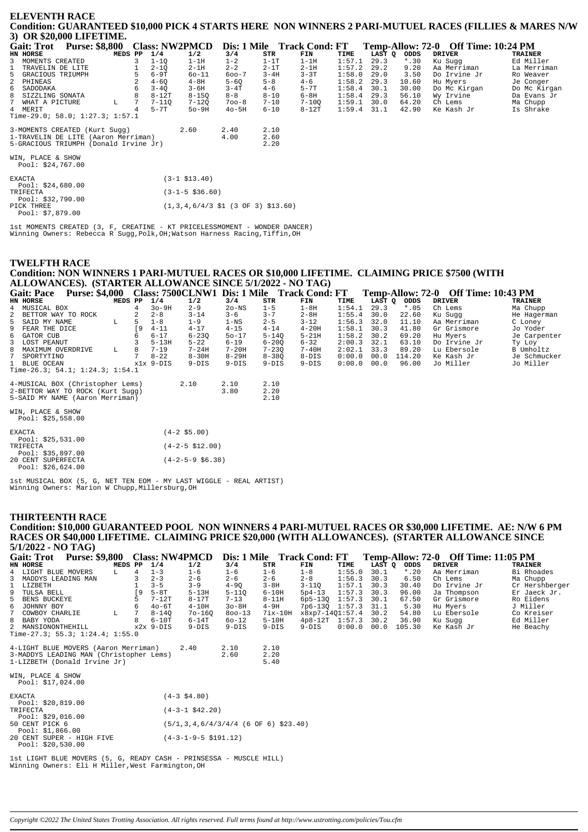### **ELEVENTH RACE** Condition: GUARANTEED \$10,000 PICK 4 STARTS HERE NON WINNERS 2 PARI-MUTUEL RACES (FILLIES & MARES N/W 3) OR \$20,000 LIFETIME.

|   | - , - , - , -<br>Gait: Trot Purse: \$8,800 |  |         |   |           | Class: NW2PMCD Dis: 1 Mile Track Cond: FT |           |          |           |               |        |         | Temp-Allow: 72-0 Off Time: 10:24 PM |                |
|---|--------------------------------------------|--|---------|---|-----------|-------------------------------------------|-----------|----------|-----------|---------------|--------|---------|-------------------------------------|----------------|
|   | HN HORSE                                   |  | MEDS PP |   | 1/4       | 1/2                                       | 3/4       | STR      | FIN       | TIME          | LAST O | ODDS    | <b>DRIVER</b>                       | <b>TRAINER</b> |
| 3 | MOMENTS CREATED                            |  |         |   | $1 - 10$  | $1-1H$                                    | $1 - 2$   | $1-1T$   | $1-1H$    | 1:57.1        | 29.3   | $*$ .30 | Ku Suqq                             | Ed Miller      |
|   | 1 TRAVELIN DE LITE                         |  |         |   | $2 - 10$  | $2-1H$                                    | $2 - 2$   | $2-1T$   | $2-1H$    | 1:57.2        | 29.2   | 9.20    | Aa Merriman                         | La Merriman    |
|   | 5 GRACIOUS TRIUMPH                         |  |         | 5 | $6-9T$    | $60 - 11$                                 | $600 - 7$ | $3 - 4H$ | $3 - 3T$  | 1:58.0        | 29.0   | 3.50    | Do Irvine Jr                        | Ro Weaver      |
|   | 2 PHINEAS                                  |  |         | 2 | $4 - 60$  | $4-8H$                                    | $5 - 60$  | $5 - 8$  | $4 - 6$   | 1:58.2        | 29.3   | 10.60   | Hu Myers                            | Je Conger      |
|   | 6 SADODAKA                                 |  |         | 6 | $3 - 40$  | $3 - 6H$                                  | $3 - 4T$  | $4 - 6$  | $5-7T$    | 1:58.4        | 30.1   | 30.00   | Do Mc Kirgan                        | Do Mc Kirgan   |
|   | 8 SIZZLING SONATA                          |  |         |   | $8-12T$   | $8 - 150$                                 | $8 - 8$   | $8 - 10$ | 6-8H      | 1:58.4        | 29.3   | 56.10   | Wy Irvine                           | Da Evans Jr    |
|   | 7 WHAT A PICTURE                           |  | L       | 7 | $7 - 110$ | 7-120                                     | $700 - 8$ | $7 - 10$ | $7 - 100$ | $1:59.1$ 30.0 |        | 64.20   | Ch Lems                             | Ma Chupp       |
|   | 4 MERIT                                    |  |         |   | 5-7T      | 50-9H                                     | $40-5H$   | $6 - 10$ | $8-12T$   | $1:59.4$ 31.1 |        | 42.90   | Ke Kash Jr                          | Is Shrake      |
|   | Time-29.0; 58.0; 1:27.3; 1:57.1            |  |         |   |           |                                           |           |          |           |               |        |         |                                     |                |
|   | 3-MOMENTS CREATED (Kurt Sugg)              |  |         |   |           | 2.60                                      | 2.40      | 2.10     |           |               |        |         |                                     |                |
|   | 1-TRAVELIN DE LITE (Aaron Merriman)        |  |         |   |           |                                           | 4.00      | 2.60     |           |               |        |         |                                     |                |
|   | 5-GRACIOUS TRIUMPH (Donald Irvine Jr)      |  |         |   |           |                                           |           | 2.20     |           |               |        |         |                                     |                |
|   | WIN, PLACE & SHOW<br>Pool: \$24,767.00     |  |         |   |           |                                           |           |          |           |               |        |         |                                     |                |
|   | <b>EVACEA</b>                              |  |         |   |           | $(2.1 + 0.12 + 0.1)$                      |           |          |           |               |        |         |                                     |                |

| LAACIA            | (3-1 \$13.40)                                                                   |
|-------------------|---------------------------------------------------------------------------------|
| Pool: \$24,680.00 |                                                                                 |
| TRIFECTA          | $(3-1-5 \; $36.60)$                                                             |
| Pool: \$32,790.00 |                                                                                 |
| PICK THREE        | $(1,3,4,6/4/3 \text{ } 51 \text{ } (3 \text{ } 0F \text{ } 3) \text{ } $13.60)$ |
| Pool: $$7,879.00$ |                                                                                 |

lst MOMENTS CREATED (3, F, CREATINE - KT PRICELESSMOMENT - WONDER DANCER)<br>Winning Owners: Rebecca R Sugg,Polk,OH;Watson Harness Racing,Tiffin,OH

### **TWELFTH RACE**

### Condition: NON WINNERS 1 PARI-MUTUEL RACES OR \$10,000 LIFETIME. CLAIMING PRICE \$7500 (WITH ALLOWANCES). (STARTER ALLOWANCE SINCE 5/1/2022 - NO TAG)

| <b>Gait: Pace</b>                       | <b>Purse: \$4,000</b> |         |     |           |           | Class: 7500CLNW1 Dis: 1 Mile |           | <b>Track Cond: FT</b> |        |        | Temp-Allow: 72-0 | <b>Off Time: 10:43 PM</b> |              |
|-----------------------------------------|-----------------------|---------|-----|-----------|-----------|------------------------------|-----------|-----------------------|--------|--------|------------------|---------------------------|--------------|
| HN HORSE                                |                       | MEDS PP |     | 1/4       | 1/2       | 3/4                          | STR       | FIN                   | TIME   | LAST Q | ODDS             | <b>DRIVER</b>             | TRAINER      |
| 4 MUSICAL BOX                           |                       |         |     | $30 - 9H$ | $2 - 9$   | $2o$ -NS                     | $1 - 5$   | $1-8H$                | 1:54.1 | 29.3   | $*$ .05          | Ch Lems                   | Ma Chupp     |
| 2 BETTOR WAY TO ROCK                    |                       |         |     | $2 - 8$   | $3 - 14$  | $3 - 6$                      | $3 - 7$   | $2 - 8H$              | 1:55.4 | 30.0   | 22.60            | Ku Sugg                   | He Hagerman  |
| 5 SAID MY NAME                          |                       | L       | 5.  | $1 - 8$   | $1 - 9$   | $1-NS$                       | $2 - 5$   | $3 - 12$              | 1:56.3 | 32.0   | 11.10            | Aa Merriman               | C Loney      |
| 9 FEAR THE DICE                         |                       |         | ſ9. | $4 - 11$  | $4 - 17$  | $4 - 15$                     | $4 - 14$  | $4 - 20H$             | 1:58.1 | 30.3   | 41.80            | Gr Grismore               | Jo Yoder     |
| 6 GATOR CUB                             |                       |         | 6   | $6 - 17$  | $6 - 230$ | $50 - 17$                    | $5 - 140$ | $5 - 21H$             | 1:58.2 | 30.2   | 69.20            | Hu Myers                  | Je Carpenter |
| 3 LOST PEANUT                           |                       |         |     | $5 - 13H$ | $5 - 22$  | $6 - 19$                     | $6 - 200$ | $6 - 32$              | 2:00.3 | 32.1   | 63.10            | Do Irvine Jr              | Ty Loy       |
| 8 MAXIMUM OVERDRIVE                     |                       | L       | 8   | $7 - 19$  | $7 - 24H$ | $7 - 20H$                    | $7 - 230$ | $7 - 40H$             | 2:02.1 | 33.3   | 89.20            | Lu Ebersole               | B Umholtz    |
| 7 SPORTYTINO                            |                       |         |     | $8 - 22$  | $8 - 30H$ | 8-29H                        | $8 - 380$ | 8-DIS                 | 0:00.0 | 00.0   | 114.20           | Ke Kash Jr                | Je Schmucker |
| 1 BLUE OCEAN                            |                       |         |     | x1x 9-DIS | 9-DIS     | 9-DIS                        | $9-DIS$   | $9-DIS$               | 0:00.0 | 00.0   | 96.00            | Jo Miller                 | Jo Miller    |
| Time-26.3; 54.1; $1:24.3$ ; $1:54.1$    |                       |         |     |           |           |                              |           |                       |        |        |                  |                           |              |
| 4-MUSICAL BOX (Christopher Lems)        |                       |         |     |           | 2.10      | 2.10                         | 2.10      |                       |        |        |                  |                           |              |
| 2-BETTOR WAY TO ROCK (Kurt Sugg)        |                       |         |     |           |           | 3.80                         | 2.20      |                       |        |        |                  |                           |              |
| 2.10<br>5-SAID MY NAME (Aaron Merriman) |                       |         |     |           |           |                              |           |                       |        |        |                  |                           |              |

|  |  | WIN, PLACE & SHOW  |  |
|--|--|--------------------|--|
|  |  | Pool: $$25,558.00$ |  |

| <b>EXACTA</b> |                    | $(4-2 \text{ }55.00)$     |
|---------------|--------------------|---------------------------|
|               | Pool: $$25,531.00$ |                           |
| TRIFECTA      |                    | $(4-2-5 \text{ } $12.00)$ |
|               | Pool: $$35.897.00$ |                           |
|               | 20 CENT SUPERFECTA | $(4-2-5-9 \text{ }56.38)$ |
|               | Pool: $$26.624.00$ |                           |

1st MUSICAL BOX (5, G, NET TEN EOM - MY LAST WIGGLE - REAL ARTIST) Winning Owners: Marion W Chupp, Millersburg, OH

#### **THIRTEENTH RACE**

Condition: \$10,000 GUARANTEED POOL NON WINNERS 4 PARI-MUTUEL RACES OR \$30,000 LIFETIME. AE: N/W 6 PM RACES OR \$40,000 LIFETIME. CLAIMING PRICE \$20,000 (WITH ALLOWANCES). (STARTER ALLOWANCE SINCE  $5/1/2022$  - NO TAG)

| <b>Purse: \$9,800</b><br><b>Gait: Trot</b> |         |           | <b>Class: NW4PMCD</b> |            | Dis: 1 Mile Track Cond: FT                |                      |        |        |         | Temp-Allow: 72-0 Off Time: 11:05 PM |                |
|--------------------------------------------|---------|-----------|-----------------------|------------|-------------------------------------------|----------------------|--------|--------|---------|-------------------------------------|----------------|
| HN HORSE                                   | MEDS PP | 1/4       | 1/2                   | 3/4        | STR                                       | FIN                  | TIME   | LAST Q | ODDS    | <b>DRIVER</b>                       | <b>TRAINER</b> |
| 4 LIGHT BLUE MOVERS<br>L.                  | 4       | $1 - 3$   | $1 - 6$               | $1 - 6$    | $1 - 6$                                   | $1 - 8$              | 1:55.0 | 30.1   | $*$ .20 | Aa Merriman                         | Bi Rhoades     |
| 3 MADDYS LEADING MAN                       |         | $2 - 3$   | $2 - 6$               | $2 - 6$    | $2 - 6$                                   | $2 - 8$              | 1:56.3 | 30.3   | 6.50    | Ch Lems                             | Ma Chupp       |
| 1 LIZBETH                                  |         | $3 - 5$   | $3 - 9$               | $4 - 9Q$   | $3 - 8H$                                  | $3 - 110$            | 1:57.1 | 30.3   | 30.40   | Do Irvine Jr                        | Cr Hershberger |
| 9 TULSA BELL                               | [9      | $5-8T$    | $5 - 13H$             | $5 - 110$  | $6-10H$                                   | $5p4-13$             | 1:57.3 | 30.3   | 96.00   | Ja Thompson                         | Er Jaeck Jr.   |
| 5 BENS BUCKEYE                             |         | 7-12T     | $8-17T$               | $7 - 13$   | $8 - 11H$                                 | $6p5-13Q$ $1:57.3$   |        | 30.1   | 67.50   | Gr Grismore                         | Ro Eidens      |
| 6 JOHNNY BOY                               | 6       | $40-6T$   | $4-10H$               | $30-8H$    | $4-9H$                                    | 7p6-130 1:57.3       |        | 31.1   | 5.30    | Hu Myers                            | J Miller       |
| 7 COWBOY CHARLIE<br>L                      |         | $8 - 140$ | $70 - 160$            | $800 - 13$ | $7i$ x-10H                                | x8xp7-1401:57.4 30.2 |        |        | 54.80   | Lu Ebersole                         | Co Kreiser     |
| 8 BABY YODA                                |         | $6-10T$   | $6-14T$               | $60 - 12$  | $5-10H$                                   | $4p8-12T$ 1:57.3     |        | 30.2   | 36.90   | Ku Sugg                             | Ed Miller      |
| 2 MANSIONONTHEHILL                         |         | x2x 9-DIS | $9-DIS$               | $9-DIS$    | $9-DIS$                                   | $9-DIS$              | 0:00.0 | 00.0   | 105.30  | Ke Kash Jr                          | He Beachy      |
| Time-27.3; $55.3$ ; $1:24.4$ ; $1:55.0$    |         |           |                       |            |                                           |                      |        |        |         |                                     |                |
| 4-LIGHT BLUE MOVERS (Aaron Merriman)       |         |           | 2.40                  | 2.10       | 2.10                                      |                      |        |        |         |                                     |                |
| 3-MADDYS LEADING MAN (Christopher Lems)    |         |           |                       | 2.60       | 2.20                                      |                      |        |        |         |                                     |                |
| 1-LIZBETH (Donald Irvine Jr)               |         |           |                       |            | 5.40                                      |                      |        |        |         |                                     |                |
| WIN, PLACE & SHOW                          |         |           |                       |            |                                           |                      |        |        |         |                                     |                |
| Pool: \$17,024.00                          |         |           |                       |            |                                           |                      |        |        |         |                                     |                |
| <b>EXACTA</b>                              |         |           | $(4-3$ \$4.80)        |            |                                           |                      |        |        |         |                                     |                |
| Pool: \$20,819.00                          |         |           |                       |            |                                           |                      |        |        |         |                                     |                |
| TRIFECTA                                   |         |           | $(4-3-1$ \$42.20)     |            |                                           |                      |        |        |         |                                     |                |
| Pool: $$29,016.00$                         |         |           |                       |            |                                           |                      |        |        |         |                                     |                |
| 50 CENT PICK 6                             |         |           |                       |            | $(5/1, 3, 4, 6/4/3/4/4$ (6 OF 6) \$23.40) |                      |        |        |         |                                     |                |
| Pool: \$1,866,00                           |         |           |                       |            |                                           |                      |        |        |         |                                     |                |

 $20 \text{ CENT SUPER} - HIGH FIVE  
\n20 CENT SUPER - HIGH FIVE  
\nPool: $20,530.00$  $(4-3-1-9-5 \$191.12)$ 

1st LIGHT BLUE MOVERS (5, G, READY CASH - PRINSESSA - MUSCLE HILL) Winning Owners: Eli H Miller, West Farmington, OH